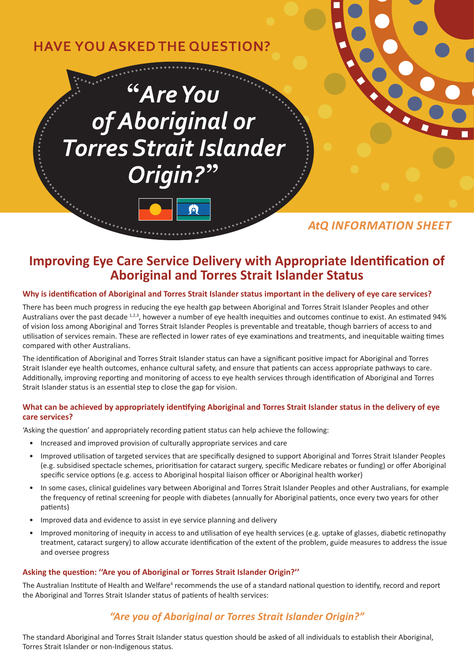# **HAVE YOU ASKED THE QUESTION?**

# "Are You of Aboriginal or **Torres Strait Islander** Origin?"

## *AtQ INFORMATION SHEET*

## **Improving Eye Care Service Delivery with Appropriate Identification of Aboriginal and Torres Strait Islander Status**

#### **Why is identification of Aboriginal and Torres Strait Islander status important in the delivery of eye care services?**

There has been much progress in reducing the eye health gap between Aboriginal and Torres Strait Islander Peoples and other Australians over the past decade 1,2,3, however a number of eye health inequities and outcomes continue to exist. An estimated 94% of vision loss among Aboriginal and Torres Strait Islander Peoples is preventable and treatable, though barriers of access to and utilisation of services remain. These are reflected in lower rates of eye examinations and treatments, and inequitable waiting times compared with other Australians.

The identification of Aboriginal and Torres Strait Islander status can have a significant positive impact for Aboriginal and Torres Strait Islander eye health outcomes, enhance cultural safety, and ensure that patients can access appropriate pathways to care. Additionally, improving reporting and monitoring of access to eye health services through identification of Aboriginal and Torres Strait Islander status is an essential step to close the gap for vision.

#### **What can be achieved by appropriately identifying Aboriginal and Torres Strait Islander status in the delivery of eye care services?**

'Asking the question' and appropriately recording patient status can help achieve the following:

- Increased and improved provision of culturally appropriate services and care
- Improved utilisation of targeted services that are specifically designed to support Aboriginal and Torres Strait Islander Peoples (e.g. subsidised spectacle schemes, prioritisation for cataract surgery, specific Medicare rebates or funding) or offer Aboriginal specific service options (e.g. access to Aboriginal hospital liaison officer or Aboriginal health worker)
- In some cases, clinical guidelines vary between Aboriginal and Torres Strait Islander Peoples and other Australians, for example the frequency of retinal screening for people with diabetes (annually for Aboriginal patients, once every two years for other patients)
- Improved data and evidence to assist in eye service planning and delivery
- Improved monitoring of inequity in access to and utilisation of eye health services (e.g. uptake of glasses, diabetic retinopathy treatment, cataract surgery) to allow accurate identification of the extent of the problem, guide measures to address the issue and oversee progress

#### **Asking the question: ''Are you of Aboriginal or Torres Strait Islander Origin?''**

The Australian Institute of Health and Welfare<sup>4</sup> recommends the use of a standard national question to identify, record and report the Aboriginal and Torres Strait Islander status of patients of health services:

### *"Are you of Aboriginal or Torres Strait Islander Origin?"*

The standard Aboriginal and Torres Strait Islander status question should be asked of all individuals to establish their Aboriginal, Torres Strait Islander or non-Indigenous status.